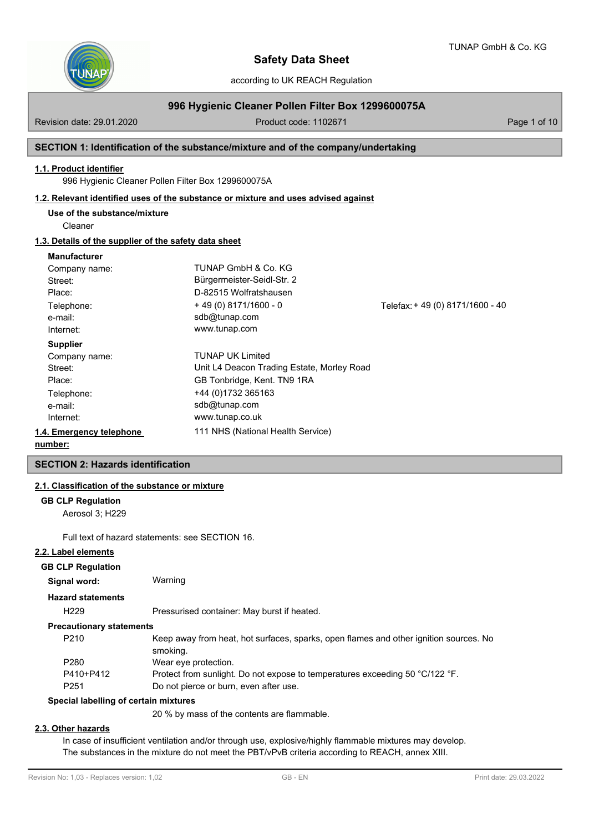

according to UK REACH Regulation

# **996 Hygienic Cleaner Pollen Filter Box 1299600075A**

Revision date: 29.01.2020 **Product code: 1102671** Page 1 of 10

### **SECTION 1: Identification of the substance/mixture and of the company/undertaking**

# **1.1. Product identifier**

996 Hygienic Cleaner Pollen Filter Box 1299600075A

### **1.2. Relevant identified uses of the substance or mixture and uses advised against**

**Use of the substance/mixture**

Cleaner

# **1.3. Details of the supplier of the safety data sheet**

#### **Manufacturer**

| Company name:            | TUNAP GmbH & Co. KG                        |                                  |
|--------------------------|--------------------------------------------|----------------------------------|
| Street:                  | Bürgermeister-Seidl-Str. 2                 |                                  |
| Place:                   | D-82515 Wolfratshausen                     |                                  |
| Telephone:               | $+49(0)8171/1600 - 0$                      | Telefax: + 49 (0) 8171/1600 - 40 |
| e-mail:                  | sdb@tunap.com                              |                                  |
| Internet:                | www.tunap.com                              |                                  |
| <b>Supplier</b>          |                                            |                                  |
| Company name:            | <b>TUNAP UK Limited</b>                    |                                  |
| Street:                  | Unit L4 Deacon Trading Estate, Morley Road |                                  |
| Place:                   | GB Tonbridge, Kent. TN9 1RA                |                                  |
| Telephone:               | +44 (0)1732 365163                         |                                  |
| e-mail:                  | sdb@tunap.com                              |                                  |
| Internet:                | www.tunap.co.uk                            |                                  |
| 1.4. Emergency telephone | 111 NHS (National Health Service)          |                                  |
| numbar.                  |                                            |                                  |

#### **number:**

# **SECTION 2: Hazards identification**

# **2.1. Classification of the substance or mixture**

#### **GB CLP Regulation**

Aerosol 3; H229

Full text of hazard statements: see SECTION 16.

**Signal word:** Warning

### **2.2. Label elements**

#### **GB CLP Regulation**

| Signal word: |  |  |
|--------------|--|--|
|              |  |  |
|              |  |  |
|              |  |  |

#### **Hazard statements**

H229 Pressurised container: May burst if heated.

#### **Precautionary statements**

| P <sub>210</sub> | Keep away from heat, hot surfaces, sparks, open flames and other ignition sources. No |
|------------------|---------------------------------------------------------------------------------------|
|                  | smoking.                                                                              |
| P <sub>280</sub> | Wear eye protection.                                                                  |
| P410+P412        | Protect from sunlight. Do not expose to temperatures exceeding 50 °C/122 °F.          |
| P <sub>251</sub> | Do not pierce or burn, even after use.                                                |
|                  |                                                                                       |

#### **Special labelling of certain mixtures**

20 % by mass of the contents are flammable.

# **2.3. Other hazards**

In case of insufficient ventilation and/or through use, explosive/highly flammable mixtures may develop. The substances in the mixture do not meet the PBT/vPvB criteria according to REACH, annex XIII.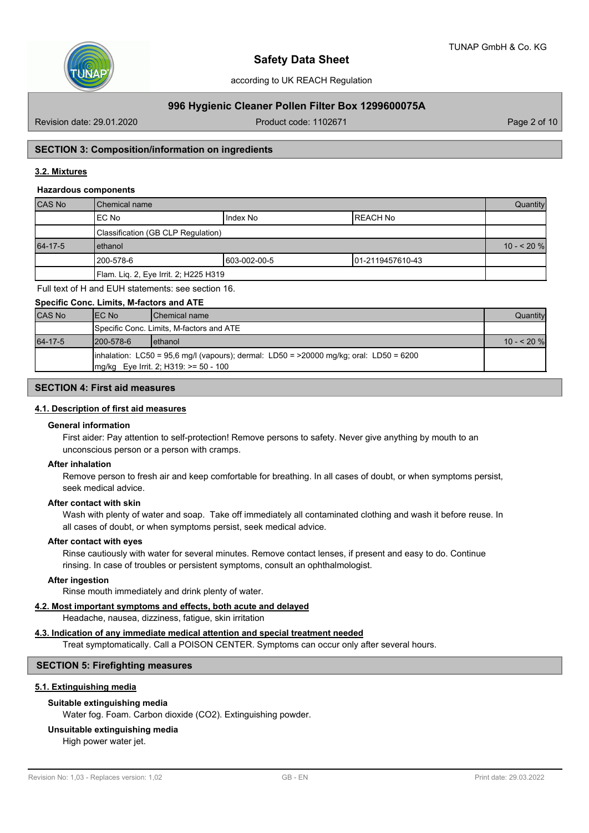

# **996 Hygienic Cleaner Pollen Filter Box 1299600075A**

Revision date: 29.01.2020 **Product code: 1102671** Page 2 of 10

# **SECTION 3: Composition/information on ingredients**

# **3.2. Mixtures**

#### **Hazardous components**

| <b>CAS No</b> | l Chemical name                                 |  |  |  |  |  |
|---------------|-------------------------------------------------|--|--|--|--|--|
|               | IEC No<br>IREACH No<br>IIndex No                |  |  |  |  |  |
|               | Classification (GB CLP Regulation)              |  |  |  |  |  |
| 64-17-5       | lethanol                                        |  |  |  |  |  |
|               | 1200-578-6<br>603-002-00-5<br>101-2119457610-43 |  |  |  |  |  |
|               | Flam. Liq. 2, Eye Irrit. 2; H225 H319           |  |  |  |  |  |

Full text of H and EUH statements: see section 16.

#### **Specific Conc. Limits, M-factors and ATE**

| <b>CAS No</b> | IEC No                                                                                                                                    | <b>IChemical name</b>                    | Quantity     |  |  |
|---------------|-------------------------------------------------------------------------------------------------------------------------------------------|------------------------------------------|--------------|--|--|
|               |                                                                                                                                           | Specific Conc. Limits, M-factors and ATE |              |  |  |
| 64-17-5       | 1200-578-6                                                                                                                                | <b>l</b> ethanol                         | $10 - 520$ % |  |  |
|               | inhalation: $LC50 = 95.6$ mg/l (vapours); dermal: $LD50 = 20000$ mg/kg; oral: $LD50 = 6200$<br>$Imq/kg$ Eye Irrit. 2; H319: $>= 50 - 100$ |                                          |              |  |  |

# **SECTION 4: First aid measures**

### **4.1. Description of first aid measures**

#### **General information**

First aider: Pay attention to self-protection! Remove persons to safety. Never give anything by mouth to an unconscious person or a person with cramps.

### **After inhalation**

Remove person to fresh air and keep comfortable for breathing. In all cases of doubt, or when symptoms persist, seek medical advice.

#### **After contact with skin**

Wash with plenty of water and soap. Take off immediately all contaminated clothing and wash it before reuse. In all cases of doubt, or when symptoms persist, seek medical advice.

#### **After contact with eyes**

Rinse cautiously with water for several minutes. Remove contact lenses, if present and easy to do. Continue rinsing. In case of troubles or persistent symptoms, consult an ophthalmologist.

#### **After ingestion**

Rinse mouth immediately and drink plenty of water.

# **4.2. Most important symptoms and effects, both acute and delayed**

Headache, nausea, dizziness, fatigue, skin irritation

### **4.3. Indication of any immediate medical attention and special treatment needed**

Treat symptomatically. Call a POISON CENTER. Symptoms can occur only after several hours.

### **SECTION 5: Firefighting measures**

### **5.1. Extinguishing media**

#### **Suitable extinguishing media**

Water fog. Foam. Carbon dioxide (CO2). Extinguishing powder.

### **Unsuitable extinguishing media**

High power water jet.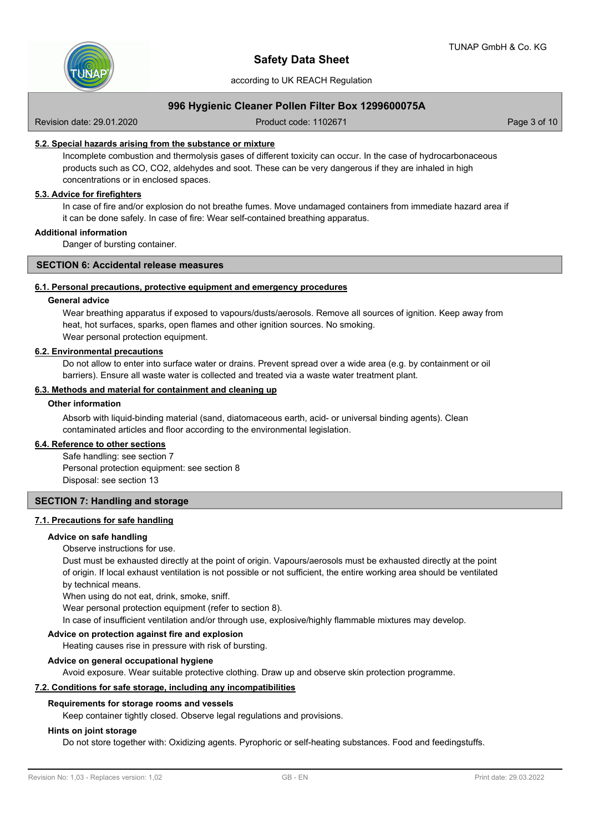

according to UK REACH Regulation

# **996 Hygienic Cleaner Pollen Filter Box 1299600075A**

Revision date: 29.01.2020 **Product code: 1102671** Page 3 of 10

## **5.2. Special hazards arising from the substance or mixture**

Incomplete combustion and thermolysis gases of different toxicity can occur. In the case of hydrocarbonaceous products such as CO, CO2, aldehydes and soot. These can be very dangerous if they are inhaled in high concentrations or in enclosed spaces.

# **5.3. Advice for firefighters**

In case of fire and/or explosion do not breathe fumes. Move undamaged containers from immediate hazard area if it can be done safely. In case of fire: Wear self-contained breathing apparatus.

# **Additional information**

Danger of bursting container.

#### **SECTION 6: Accidental release measures**

### **6.1. Personal precautions, protective equipment and emergency procedures**

#### **General advice**

Wear breathing apparatus if exposed to vapours/dusts/aerosols. Remove all sources of ignition. Keep away from heat, hot surfaces, sparks, open flames and other ignition sources. No smoking. Wear personal protection equipment.

#### **6.2. Environmental precautions**

Do not allow to enter into surface water or drains. Prevent spread over a wide area (e.g. by containment or oil barriers). Ensure all waste water is collected and treated via a waste water treatment plant.

## **6.3. Methods and material for containment and cleaning up**

### **Other information**

Absorb with liquid-binding material (sand, diatomaceous earth, acid- or universal binding agents). Clean contaminated articles and floor according to the environmental legislation.

### **6.4. Reference to other sections**

Safe handling: see section 7 Personal protection equipment: see section 8 Disposal: see section 13

#### **SECTION 7: Handling and storage**

# **7.1. Precautions for safe handling**

### **Advice on safe handling**

#### Observe instructions for use.

Dust must be exhausted directly at the point of origin. Vapours/aerosols must be exhausted directly at the point of origin. If local exhaust ventilation is not possible or not sufficient, the entire working area should be ventilated by technical means.

When using do not eat, drink, smoke, sniff.

Wear personal protection equipment (refer to section 8).

In case of insufficient ventilation and/or through use, explosive/highly flammable mixtures may develop.

# **Advice on protection against fire and explosion**

Heating causes rise in pressure with risk of bursting.

#### **Advice on general occupational hygiene**

Avoid exposure. Wear suitable protective clothing. Draw up and observe skin protection programme.

#### **7.2. Conditions for safe storage, including any incompatibilities**

#### **Requirements for storage rooms and vessels**

Keep container tightly closed. Observe legal regulations and provisions.

#### **Hints on joint storage**

Do not store together with: Oxidizing agents. Pyrophoric or self-heating substances. Food and feedingstuffs.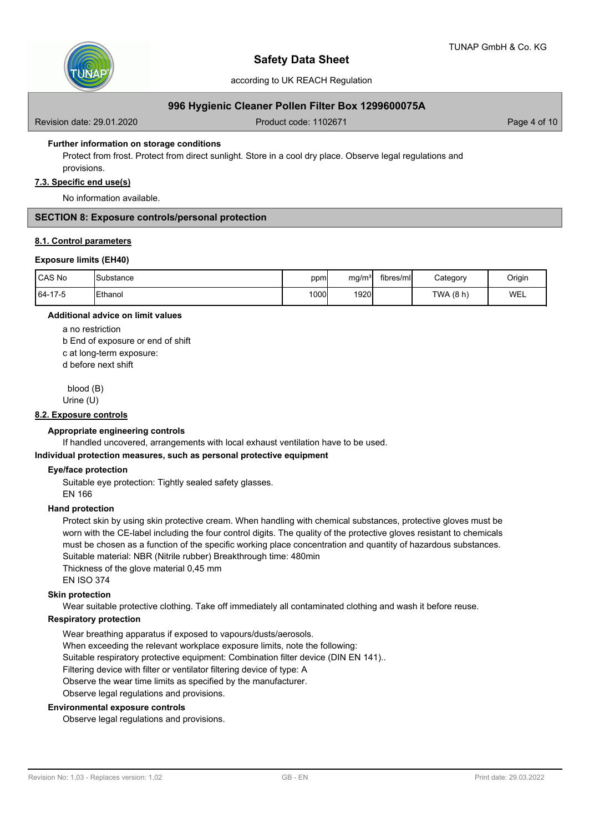

# **996 Hygienic Cleaner Pollen Filter Box 1299600075A**

Revision date: 29.01.2020 **Product code: 1102671** Page 4 of 10

### **Further information on storage conditions**

Protect from frost. Protect from direct sunlight. Store in a cool dry place. Observe legal regulations and provisions.

#### **7.3. Specific end use(s)**

No information available.

# **SECTION 8: Exposure controls/personal protection**

#### **8.1. Control parameters**

#### **Exposure limits (EH40)**

| <b>CAS No</b> | <b>I</b> Substance | ppm  | mg/m <sup>3</sup> | fibres/ml | Category  | Origin     |
|---------------|--------------------|------|-------------------|-----------|-----------|------------|
| 64-17-5       | <b>IEthanol</b>    | 1000 | 1920              |           | TWA (8 h) | <b>WEL</b> |

# **Additional advice on limit values**

a no restriction b End of exposure or end of shift c at long-term exposure: d before next shift

blood (B)

Urine (U)

#### **8.2. Exposure controls**

# **Appropriate engineering controls**

If handled uncovered, arrangements with local exhaust ventilation have to be used.

#### **Individual protection measures, such as personal protective equipment**

#### **Eye/face protection**

Suitable eye protection: Tightly sealed safety glasses. EN 166

#### **Hand protection**

Protect skin by using skin protective cream. When handling with chemical substances, protective gloves must be worn with the CE-label including the four control digits. The quality of the protective gloves resistant to chemicals must be chosen as a function of the specific working place concentration and quantity of hazardous substances. Suitable material: NBR (Nitrile rubber) Breakthrough time: 480min Thickness of the glove material 0,45 mm

EN ISO 374

### **Skin protection**

Wear suitable protective clothing. Take off immediately all contaminated clothing and wash it before reuse.

#### **Respiratory protection**

Wear breathing apparatus if exposed to vapours/dusts/aerosols.

When exceeding the relevant workplace exposure limits, note the following:

Suitable respiratory protective equipment: Combination filter device (DIN EN 141)..

Filtering device with filter or ventilator filtering device of type: A

Observe the wear time limits as specified by the manufacturer.

Observe legal regulations and provisions.

#### **Environmental exposure controls**

Observe legal regulations and provisions.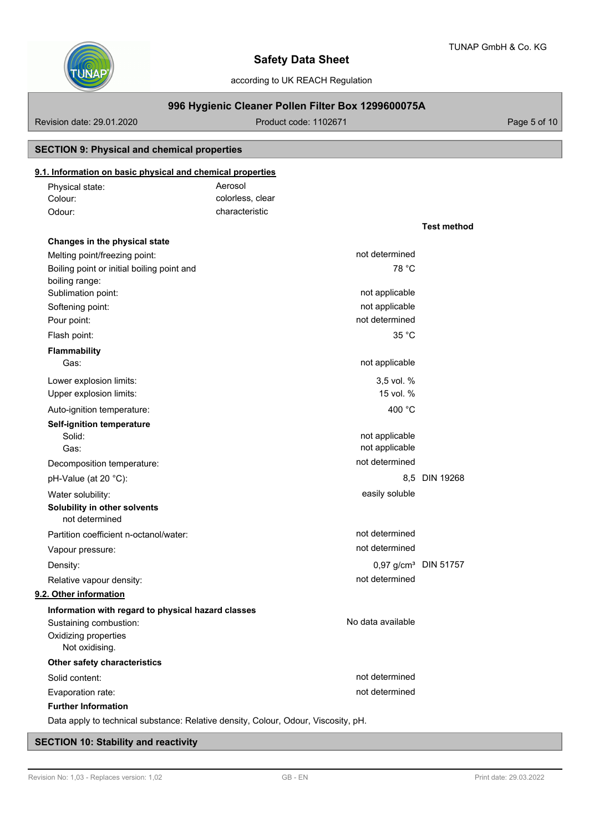**Test method**



# **Safety Data Sheet**

according to UK REACH Regulation

# **996 Hygienic Cleaner Pollen Filter Box 1299600075A**

Revision date: 29.01.2020 **Product code: 1102671** Page 5 of 10

# **SECTION 9: Physical and chemical properties**

# **9.1. Information on basic physical and chemical properties**

| Physical state: | Aerosol          |
|-----------------|------------------|
| Colour:         | colorless, clear |
| Odour:          | characteristic   |

| Changes in the physical state                                                      |                                  |               |
|------------------------------------------------------------------------------------|----------------------------------|---------------|
| Melting point/freezing point:                                                      | not determined                   |               |
| Boiling point or initial boiling point and                                         | 78 °C                            |               |
| boiling range:                                                                     |                                  |               |
| Sublimation point:                                                                 | not applicable                   |               |
| Softening point:                                                                   | not applicable                   |               |
| Pour point:                                                                        | not determined                   |               |
| Flash point:                                                                       | 35 °C                            |               |
| <b>Flammability</b>                                                                |                                  |               |
| Gas:                                                                               | not applicable                   |               |
| Lower explosion limits:                                                            | 3,5 vol. %                       |               |
| Upper explosion limits:                                                            | 15 vol. %                        |               |
| Auto-ignition temperature:                                                         | 400 °C                           |               |
| <b>Self-ignition temperature</b>                                                   |                                  |               |
| Solid:                                                                             | not applicable                   |               |
| Gas:                                                                               | not applicable                   |               |
| Decomposition temperature:                                                         | not determined                   |               |
| pH-Value (at 20 °C):                                                               |                                  | 8.5 DIN 19268 |
| Water solubility:                                                                  | easily soluble                   |               |
| Solubility in other solvents                                                       |                                  |               |
| not determined                                                                     |                                  |               |
| Partition coefficient n-octanol/water:                                             | not determined                   |               |
| Vapour pressure:                                                                   | not determined                   |               |
| Density:                                                                           | 0,97 g/cm <sup>3</sup> DIN 51757 |               |
| Relative vapour density:                                                           | not determined                   |               |
| 9.2. Other information                                                             |                                  |               |
| Information with regard to physical hazard classes                                 |                                  |               |
| Sustaining combustion:                                                             | No data available                |               |
| Oxidizing properties                                                               |                                  |               |
| Not oxidising.                                                                     |                                  |               |
| Other safety characteristics                                                       |                                  |               |
| Solid content:                                                                     | not determined                   |               |
| Evaporation rate:                                                                  | not determined                   |               |
| <b>Further Information</b>                                                         |                                  |               |
| Data apply to technical substance: Relative density, Colour, Odour, Viscosity, pH. |                                  |               |

# **SECTION 10: Stability and reactivity**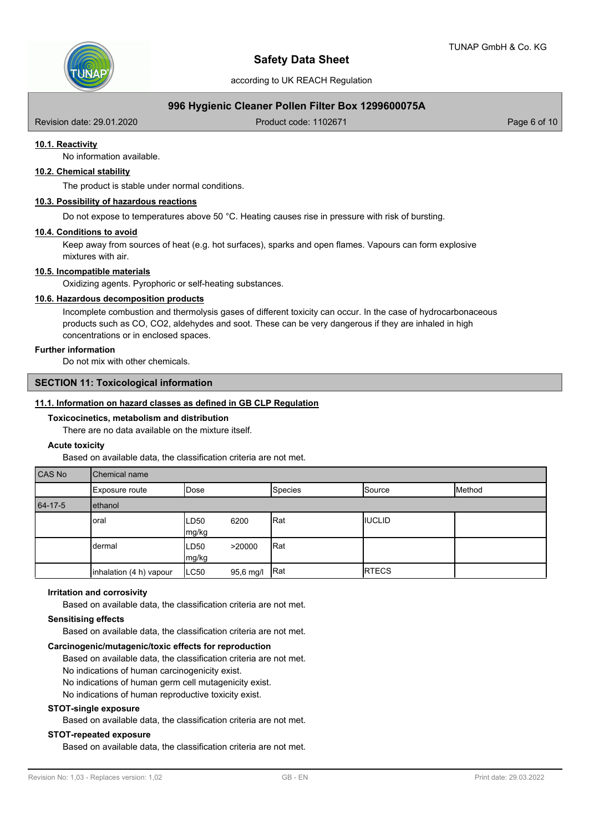

# **996 Hygienic Cleaner Pollen Filter Box 1299600075A**

Revision date: 29.01.2020 **Product code: 1102671** Page 6 of 10

# **10.1. Reactivity**

No information available.

# **10.2. Chemical stability**

The product is stable under normal conditions.

### **10.3. Possibility of hazardous reactions**

Do not expose to temperatures above 50 °C. Heating causes rise in pressure with risk of bursting.

#### **10.4. Conditions to avoid**

Keep away from sources of heat (e.g. hot surfaces), sparks and open flames. Vapours can form explosive mixtures with air.

### **10.5. Incompatible materials**

Oxidizing agents. Pyrophoric or self-heating substances.

### **10.6. Hazardous decomposition products**

Incomplete combustion and thermolysis gases of different toxicity can occur. In the case of hydrocarbonaceous products such as CO, CO2, aldehydes and soot. These can be very dangerous if they are inhaled in high concentrations or in enclosed spaces.

#### **Further information**

Do not mix with other chemicals.

# **SECTION 11: Toxicological information**

### **11.1. Information on hazard classes as defined in GB CLP Regulation**

#### **Toxicocinetics, metabolism and distribution**

There are no data available on the mixture itself.

#### **Acute toxicity**

Based on available data, the classification criteria are not met.

| CAS No  | <b>Chemical name</b>    |                            |           |             |               |        |  |  |
|---------|-------------------------|----------------------------|-----------|-------------|---------------|--------|--|--|
|         | Exposure route          | <b>IDose</b>               |           | Species     | Source        | Method |  |  |
| 64-17-5 | ethanol                 |                            |           |             |               |        |  |  |
|         | oral                    | ILD <sub>50</sub><br>mg/kg | 6200      | Rat         | <b>IUCLID</b> |        |  |  |
|         | dermal                  | ILD50<br>mg/kg             | >20000    | Rat         |               |        |  |  |
|         | inhalation (4 h) vapour | LC50                       | 95,6 mg/l | <b>IRat</b> | <b>RTECS</b>  |        |  |  |

# **Irritation and corrosivity**

Based on available data, the classification criteria are not met.

# **Sensitising effects**

Based on available data, the classification criteria are not met.

# **Carcinogenic/mutagenic/toxic effects for reproduction**

Based on available data, the classification criteria are not met.

- No indications of human carcinogenicity exist.
- No indications of human germ cell mutagenicity exist.

No indications of human reproductive toxicity exist.

# **STOT-single exposure**

Based on available data, the classification criteria are not met.

# **STOT-repeated exposure**

Based on available data, the classification criteria are not met.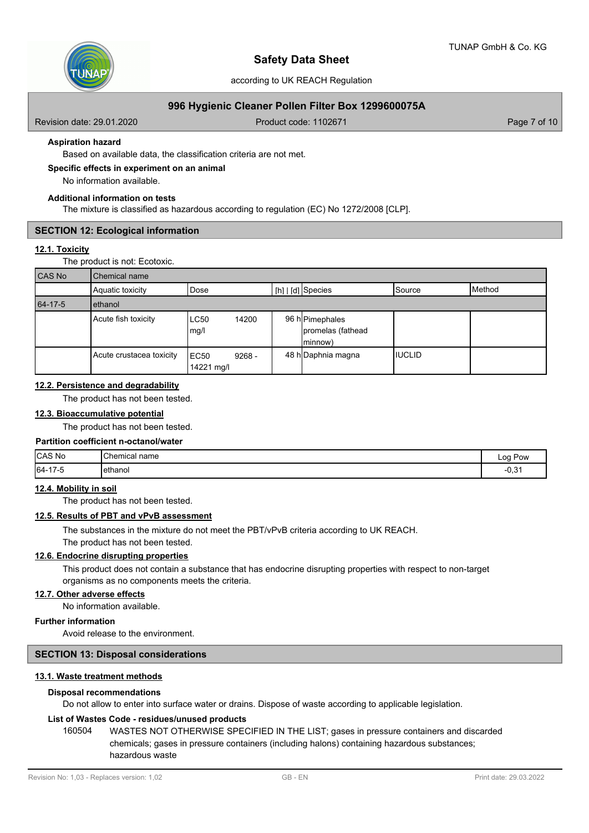

# **996 Hygienic Cleaner Pollen Filter Box 1299600075A**

Revision date: 29.01.2020 **Product code: 1102671** Page 7 of 10

### **Aspiration hazard**

Based on available data, the classification criteria are not met.

## **Specific effects in experiment on an animal**

No information available.

### **Additional information on tests**

The mixture is classified as hazardous according to regulation (EC) No 1272/2008 [CLP].

### **SECTION 12: Ecological information**

### **12.1. Toxicity**

The product is not: Ecotoxic.

| CAS No  | Chemical name            |                    |          |                                                          |                 |        |
|---------|--------------------------|--------------------|----------|----------------------------------------------------------|-----------------|--------|
|         | Aquatic toxicity         | Dose               |          | $\lfloor h \rfloor$ $\lfloor d \rfloor$ Species          | <b>I</b> Source | Method |
| 64-17-5 | ethanol                  |                    |          |                                                          |                 |        |
|         | Acute fish toxicity      | LC50<br>mg/l       | 14200    | 96 h <b> </b> Pimephales<br>promelas (fathead<br>(minnow |                 |        |
|         | Acute crustacea toxicity | EC50<br>14221 mg/l | $9268 -$ | 48 h Daphnia magna                                       | IIUCLID         |        |

## **12.2. Persistence and degradability**

The product has not been tested.

# **12.3. Bioaccumulative potential**

The product has not been tested.

### **Partition coefficient n-octanol/water**

| CAS No            | Chemical,<br>l name | Pow<br>Log                  |
|-------------------|---------------------|-----------------------------|
| $64 - 17$<br>17-O | <b>l</b> ethanol    | $\sim$ $\sim$<br>--<br>'∪.ບ |

#### **12.4. Mobility in soil**

The product has not been tested.

### **12.5. Results of PBT and vPvB assessment**

The substances in the mixture do not meet the PBT/vPvB criteria according to UK REACH. The product has not been tested.

#### **12.6. Endocrine disrupting properties**

This product does not contain a substance that has endocrine disrupting properties with respect to non-target organisms as no components meets the criteria.

#### **12.7. Other adverse effects**

No information available.

# **Further information**

Avoid release to the environment.

# **SECTION 13: Disposal considerations**

### **13.1. Waste treatment methods**

#### **Disposal recommendations**

Do not allow to enter into surface water or drains. Dispose of waste according to applicable legislation.

### **List of Wastes Code - residues/unused products**

160504 WASTES NOT OTHERWISE SPECIFIED IN THE LIST; gases in pressure containers and discarded chemicals; gases in pressure containers (including halons) containing hazardous substances; hazardous waste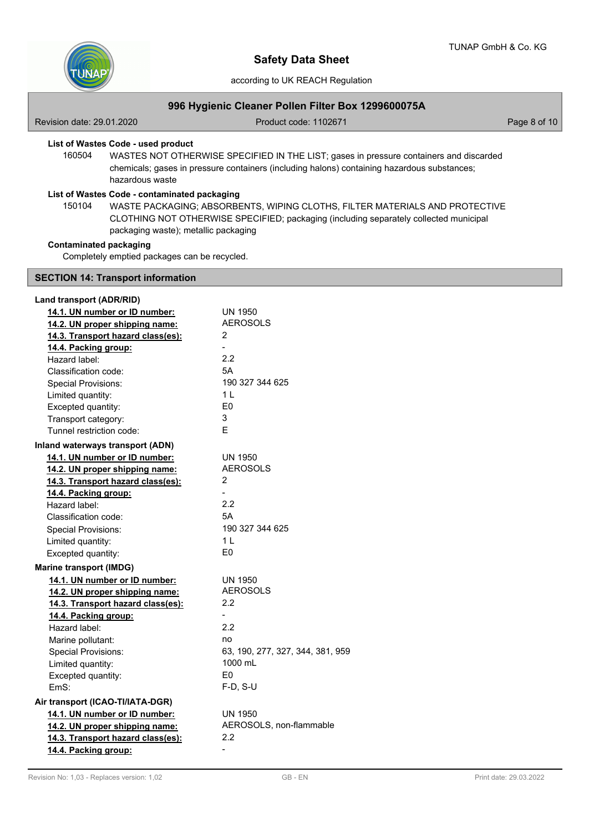

according to UK REACH Regulation

# **996 Hygienic Cleaner Pollen Filter Box 1299600075A**

Revision date: 29.01.2020 **Product code: 1102671** Page 8 of 10

# **List of Wastes Code - used product**

WASTES NOT OTHERWISE SPECIFIED IN THE LIST; gases in pressure containers and discarded chemicals; gases in pressure containers (including halons) containing hazardous substances; hazardous waste 160504

# **List of Wastes Code - contaminated packaging**

WASTE PACKAGING; ABSORBENTS, WIPING CLOTHS, FILTER MATERIALS AND PROTECTIVE CLOTHING NOT OTHERWISE SPECIFIED; packaging (including separately collected municipal packaging waste); metallic packaging 150104

# **Contaminated packaging**

Completely emptied packages can be recycled.

# **SECTION 14: Transport information**

| Land transport (ADR/RID)          |                                  |
|-----------------------------------|----------------------------------|
| 14.1. UN number or ID number:     | UN 1950                          |
| 14.2. UN proper shipping name:    | <b>AEROSOLS</b>                  |
| 14.3. Transport hazard class(es): | 2                                |
| 14.4. Packing group:              |                                  |
| Hazard label:                     | 2.2                              |
| Classification code:              | 5A                               |
| <b>Special Provisions:</b>        | 190 327 344 625                  |
| Limited quantity:                 | 1 L                              |
| Excepted quantity:                | E <sub>0</sub>                   |
| Transport category:               | 3                                |
| Tunnel restriction code:          | F                                |
| Inland waterways transport (ADN)  |                                  |
| 14.1. UN number or ID number:     | <b>UN 1950</b>                   |
| 14.2. UN proper shipping name:    | <b>AEROSOLS</b>                  |
| 14.3. Transport hazard class(es): | 2                                |
| 14.4. Packing group:              |                                  |
| Hazard label:                     | 2.2                              |
| Classification code:              | 5A                               |
| <b>Special Provisions:</b>        | 190 327 344 625                  |
| Limited quantity:                 | 1 L                              |
| Excepted quantity:                | E <sub>0</sub>                   |
| <b>Marine transport (IMDG)</b>    |                                  |
| 14.1. UN number or ID number:     | UN 1950                          |
| 14.2. UN proper shipping name:    | AEROSOLS                         |
| 14.3. Transport hazard class(es): | 2.2                              |
| 14.4. Packing group:              |                                  |
| Hazard label:                     | 2.2                              |
| Marine pollutant:                 | no                               |
| <b>Special Provisions:</b>        | 63, 190, 277, 327, 344, 381, 959 |
| Limited quantity:                 | 1000 mL                          |
| Excepted quantity:                | E0                               |
| EmS:                              | F-D, S-U                         |
| Air transport (ICAO-TI/IATA-DGR)  |                                  |
| 14.1. UN number or ID number:     | <b>UN 1950</b>                   |
| 14.2. UN proper shipping name:    | AEROSOLS, non-flammable          |
| 14.3. Transport hazard class(es): | 2.2                              |
| 14.4. Packing group:              | $\overline{a}$                   |
|                                   |                                  |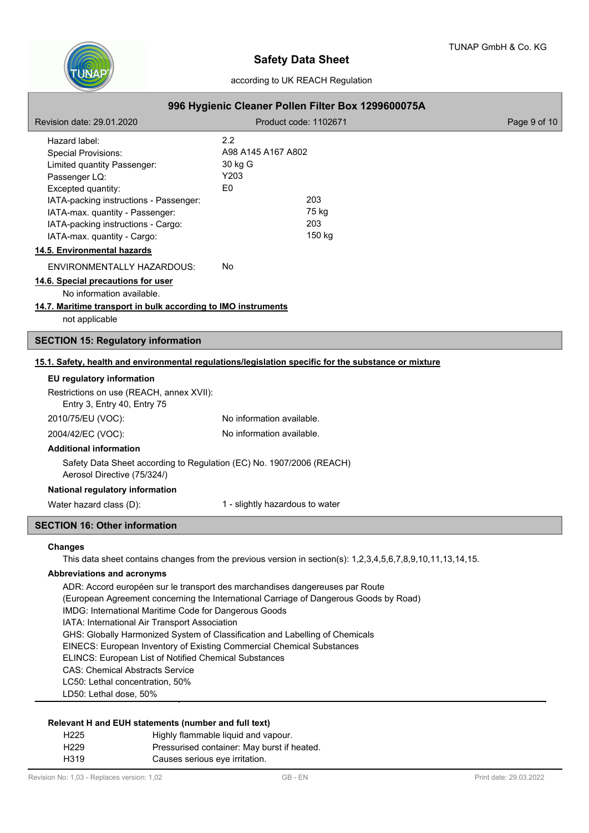

|                                                                                                                                                                                                                                                                     | according to UK REACH Regulation                                                                            |              |
|---------------------------------------------------------------------------------------------------------------------------------------------------------------------------------------------------------------------------------------------------------------------|-------------------------------------------------------------------------------------------------------------|--------------|
| 996 Hygienic Cleaner Pollen Filter Box 1299600075A                                                                                                                                                                                                                  |                                                                                                             |              |
| Revision date: 29.01.2020                                                                                                                                                                                                                                           | Product code: 1102671                                                                                       | Page 9 of 10 |
| Hazard label:<br><b>Special Provisions:</b><br>Limited quantity Passenger:<br>Passenger LQ:<br>Excepted quantity:<br>IATA-packing instructions - Passenger:<br>IATA-max. quantity - Passenger:<br>IATA-packing instructions - Cargo:<br>IATA-max. quantity - Cargo: | 2.2<br>A98 A145 A167 A802<br>30 kg G<br>Y203<br>F <sub>0</sub><br>203<br>75 kg<br>203<br>150 kg             |              |
| 14.5. Environmental hazards                                                                                                                                                                                                                                         |                                                                                                             |              |
| ENVIRONMENTALLY HAZARDOUS:<br>14.6. Special precautions for user<br>No information available.<br>14.7. Maritime transport in bulk according to IMO instruments<br>not applicable                                                                                    | No                                                                                                          |              |
| <b>SECTION 15: Regulatory information</b>                                                                                                                                                                                                                           |                                                                                                             |              |
| 15.1. Safety, health and environmental regulations/legislation specific for the substance or mixture                                                                                                                                                                |                                                                                                             |              |
| EU regulatory information<br>Restrictions on use (REACH, annex XVII):<br>Entry 3, Entry 40, Entry 75                                                                                                                                                                |                                                                                                             |              |
| 2010/75/EU (VOC):                                                                                                                                                                                                                                                   | No information available.                                                                                   |              |
| 2004/42/EC (VOC):                                                                                                                                                                                                                                                   | No information available.                                                                                   |              |
| <b>Additional information</b><br>Safety Data Sheet according to Regulation (EC) No. 1907/2006 (REACH)<br>Aerosol Directive (75/324/)<br>National regulatory information                                                                                             | 1 - slightly hazardous to water                                                                             |              |
| Water hazard class (D):                                                                                                                                                                                                                                             |                                                                                                             |              |
| <b>SECTION 16: Other information</b>                                                                                                                                                                                                                                |                                                                                                             |              |
| <b>Changes</b><br><b>Abbreviations and acronyms</b>                                                                                                                                                                                                                 | This data sheet contains changes from the previous version in section(s): 1,2,3,4,5,6,7,8,9,10,11,13,14,15. |              |

ADR: Accord européen sur le transport des marchandises dangereuses par Route (European Agreement concerning the International Carriage of Dangerous Goods by Road) IMDG: International Maritime Code for Dangerous Goods IATA: International Air Transport Association GHS: Globally Harmonized System of Classification and Labelling of Chemicals EINECS: European Inventory of Existing Commercial Chemical Substances ELINCS: European List of Notified Chemical Substances CAS: Chemical Abstracts Service LC50: Lethal concentration, 50%

LD50: Lethal dose, 50%

# **Relevant H and EUH statements (number and full text)**

| H <sub>225</sub> | Highly flammable liquid and vapour.         |
|------------------|---------------------------------------------|
| H <sub>229</sub> | Pressurised container: May burst if heated. |
| H319             | Causes serious eye irritation.              |